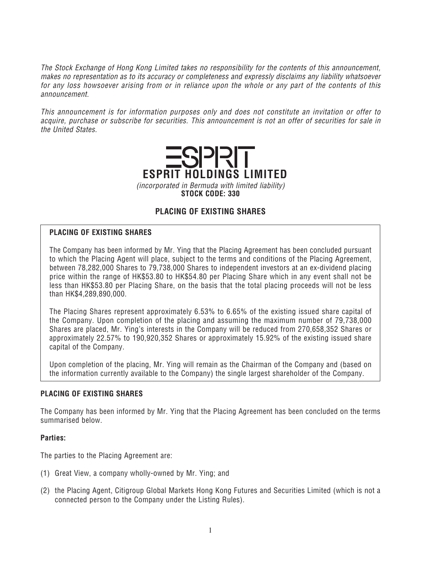*The Stock Exchange of Hong Kong Limited takes no responsibility for the contents of this announcement, makes no representation as to its accuracy or completeness and expressly disclaims any liability whatsoever for any loss howsoever arising from or in reliance upon the whole or any part of the contents of this announcement.*

*This announcement is for information purposes only and does not constitute an invitation or offer to acquire, purchase or subscribe for securities. This announcement is not an offer of securities for sale in the United States.*



*(incorporated in Bermuda with limited liability)* **STOCK CODE: 330**

# **PLACING OF EXISTING SHARES**

# **PLACING OF EXISTING SHARES**

*The Company has been informed by Mr. Ying that the Placing Agreement has been concluded pursuant to which the Placing Agent will place, subject to the terms and conditions of the Placing Agreement, between 78,282,000 Shares to 79,738,000 Shares to independent investors at an ex-dividend placing price within the range of HK\$53.80 to HK\$54.80 per Placing Share which in any event shall not be less than HK\$53.80 per Placing Share, on the basis that the total placing proceeds will not be less than HK\$4,289,890,000.*

*The Placing Shares represent approximately 6.53% to 6.65% of the existing issued share capital of the Company. Upon completion of the placing and assuming the maximum number of 79,738,000 Shares are placed, Mr. Ying's interests in the Company will be reduced from 270,658,352 Shares or approximately 22.57% to 190,920,352 Shares or approximately 15.92% of the existing issued share capital of the Company.*

*Upon completion of the placing, Mr. Ying will remain as the Chairman of the Company and (based on the information currently available to the Company) the single largest shareholder of the Company.*

# **PLACING OF EXISTING SHARES**

*The Company has been informed by Mr. Ying that the Placing Agreement has been concluded on the terms summarised below.*

# **Parties:**

*The parties to the Placing Agreement are:*

- *(1) Great View, a company wholly-owned by Mr. Ying; and*
- *(2) the Placing Agent, Citigroup Global Markets Hong Kong Futures and Securities Limited (which is not a connected person to the Company under the Listing Rules).*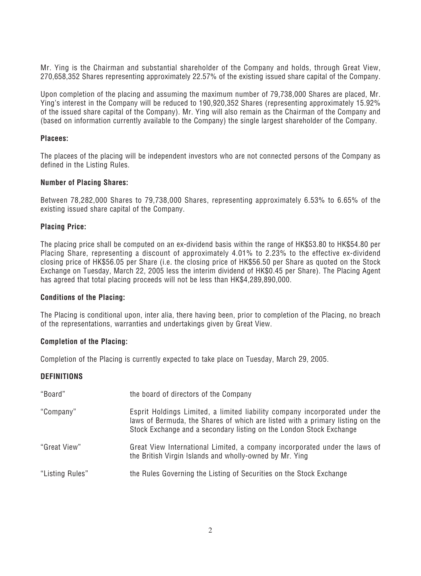*Mr. Ying is the Chairman and substantial shareholder of the Company and holds, through Great View, 270,658,352 Shares representing approximately 22.57% of the existing issued share capital of the Company.*

*Upon completion of the placing and assuming the maximum number of 79,738,000 Shares are placed, Mr. Ying's interest in the Company will be reduced to 190,920,352 Shares (representing approximately 15.92% of the issued share capital of the Company). Mr. Ying will also remain as the Chairman of the Company and (based on information currently available to the Company) the single largest shareholder of the Company.*

#### **Placees:**

*The placees of the placing will be independent investors who are not connected persons of the Company as defined in the Listing Rules.*

#### **Number of Placing Shares:**

*Between 78,282,000 Shares to 79,738,000 Shares, representing approximately 6.53% to 6.65% of the existing issued share capital of the Company.*

#### **Placing Price:**

*The placing price shall be computed on an ex-dividend basis within the range of HK\$53.80 to HK\$54.80 per Placing Share, representing a discount of approximately 4.01% to 2.23% to the effective ex-dividend closing price of HK\$56.05 per Share (i.e. the closing price of HK\$56.50 per Share as quoted on the Stock Exchange on Tuesday, March 22, 2005 less the interim dividend of HK\$0.45 per Share). The Placing Agent has agreed that total placing proceeds will not be less than HK\$4,289,890,000.*

#### **Conditions of the Placing:**

*The Placing is conditional upon, inter alia, there having been, prior to completion of the Placing, no breach of the representations, warranties and undertakings given by Great View.*

#### **Completion of the Placing:**

*Completion of the Placing is currently expected to take place on Tuesday, March 29, 2005.*

# **DEFINITIONS**

| "Board"         | the board of directors of the Company                                                                                                                                                                                               |
|-----------------|-------------------------------------------------------------------------------------------------------------------------------------------------------------------------------------------------------------------------------------|
| "Company"       | Esprit Holdings Limited, a limited liability company incorporated under the<br>laws of Bermuda, the Shares of which are listed with a primary listing on the<br>Stock Exchange and a secondary listing on the London Stock Exchange |
| "Great View"    | Great View International Limited, a company incorporated under the laws of<br>the British Virgin Islands and wholly-owned by Mr. Ying                                                                                               |
| "Listing Rules" | the Rules Governing the Listing of Securities on the Stock Exchange                                                                                                                                                                 |